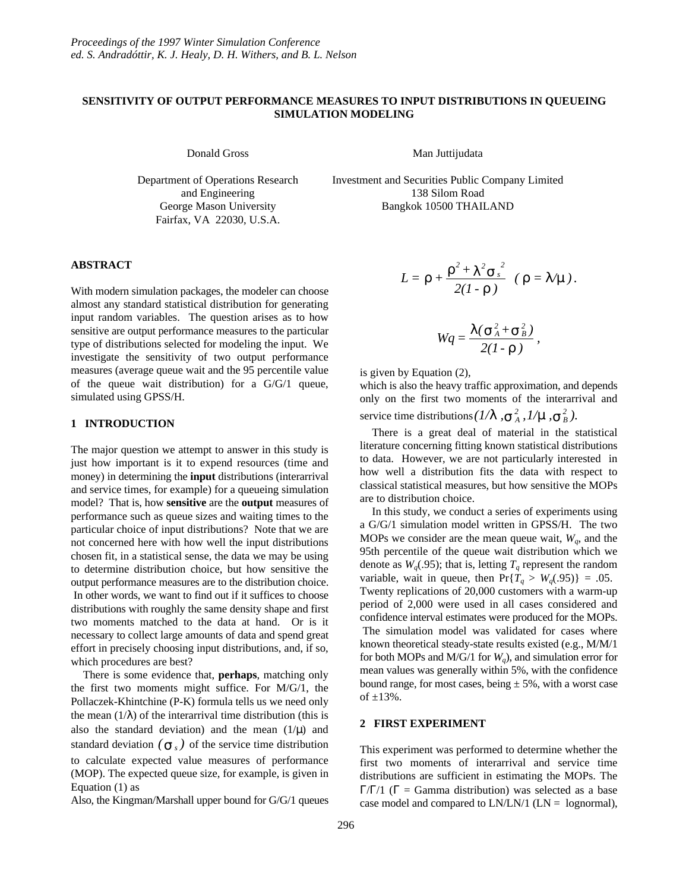## **SENSITIVITY OF OUTPUT PERFORMANCE MEASURES TO INPUT DISTRIBUTIONS IN QUEUEING SIMULATION MODELING**

Department of Operations Research and Engineering George Mason University Fairfax, VA 22030, U.S.A.

Donald Gross Man Juttijudata

Investment and Securities Public Company Limited 138 Silom Road Bangkok 10500 THAILAND

### **ABSTRACT**

With modern simulation packages, the modeler can choose almost any standard statistical distribution for generating input random variables. The question arises as to how sensitive are output performance measures to the particular type of distributions selected for modeling the input. We investigate the sensitivity of two output performance measures (average queue wait and the 95 percentile value of the queue wait distribution) for a G/G/1 queue, simulated using GPSS/H.

### **1 INTRODUCTION**

The major question we attempt to answer in this study is just how important is it to expend resources (time and money) in determining the **input** distributions (interarrival and service times, for example) for a queueing simulation model? That is, how **sensitive** are the **output** measures of performance such as queue sizes and waiting times to the particular choice of input distributions? Note that we are not concerned here with how well the input distributions chosen fit, in a statistical sense, the data we may be using to determine distribution choice, but how sensitive the output performance measures are to the distribution choice. In other words, we want to find out if it suffices to choose distributions with roughly the same density shape and first two moments matched to the data at hand. Or is it necessary to collect large amounts of data and spend great effort in precisely choosing input distributions, and, if so, which procedures are best?

There is some evidence that, **perhaps**, matching only the first two moments might suffice. For M/G/1, the Pollaczek-Khintchine (P-K) formula tells us we need only the mean  $(1/\lambda)$  of the interarrival time distribution (this is also the standard deviation) and the mean  $(1/\mu)$  and standard deviation  $({\bf s}_s)$  of the service time distribution to calculate expected value measures of performance (MOP). The expected queue size, for example, is given in Equation (1) as

Also, the Kingman/Marshall upper bound for G/G/1 queues

$$
L = r + \frac{r^2 + l^2 s_s^2}{2(l-r)} \quad (r = l/m).
$$

$$
Wq=\frac{\mathbf{1}(\mathbf{s}_{A}^{2}+\mathbf{s}_{B}^{2})}{2(I\cdot\mathbf{r})},
$$

is given by Equation (2),

which is also the heavy traffic approximation, and depends only on the first two moments of the interarrival and service time distributions  $(1/\mathbf{I}^{\prime}, \mathbf{S}_{A}^{2}, 1/\mathbf{m}, \mathbf{S}_{B}^{2})$ .

There is a great deal of material in the statistical literature concerning fitting known statistical distributions to data. However, we are not particularly interested in how well a distribution fits the data with respect to classical statistical measures, but how sensitive the MOPs are to distribution choice.

In this study, we conduct a series of experiments using a G/G/1 simulation model written in GPSS/H. The two MOPs we consider are the mean queue wait,  $W_q$ , and the 95th percentile of the queue wait distribution which we denote as  $W_q(.95)$ ; that is, letting  $T_q$  represent the random variable, wait in queue, then  $Pr{T_a > W_a(.95)} = .05$ . Twenty replications of 20,000 customers with a warm-up period of 2,000 were used in all cases considered and confidence interval estimates were produced for the MOPs. The simulation model was validated for cases where known theoretical steady-state results existed (e.g., M/M/1 for both MOPs and M/G/1 for  $W_a$ ), and simulation error for mean values was generally within 5%, with the confidence bound range, for most cases, being  $\pm$  5%, with a worst case of  $\pm 13%$ .

## **2 FIRST EXPERIMENT**

This experiment was performed to determine whether the first two moments of interarrival and service time distributions are sufficient in estimating the MOPs. The Γ/Γ/1 ( $\Gamma$  = Gamma distribution) was selected as a base case model and compared to  $LN/LN/1$  ( $LN =$  lognormal),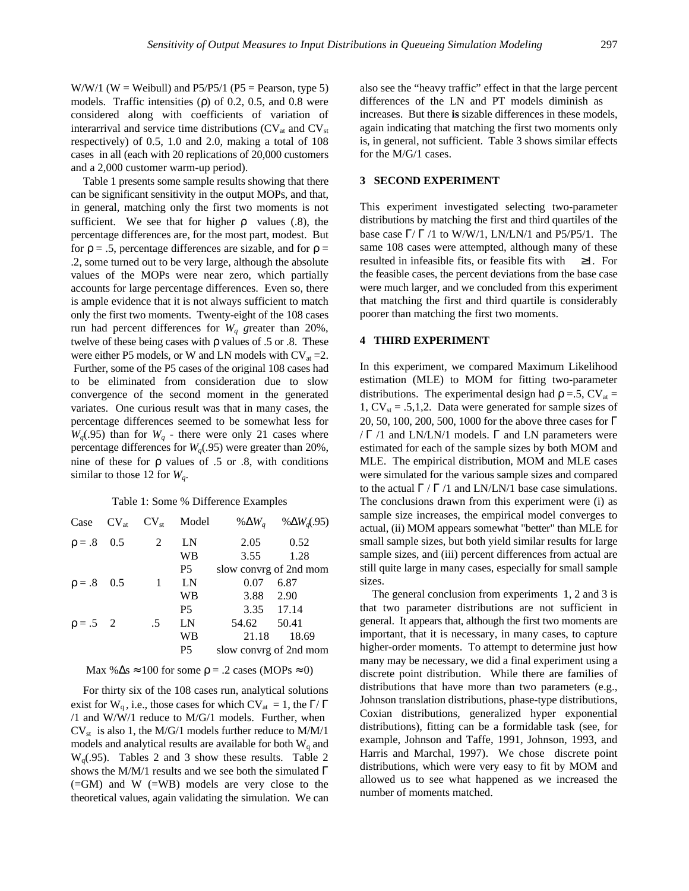$W/W/1$  (W = Weibull) and P5/P5/1 (P5 = Pearson, type 5) models. Traffic intensities  $(p)$  of 0.2, 0.5, and 0.8 were considered along with coefficients of variation of interarrival and service time distributions  $(CV_{at}$  and  $CV_{st}$ respectively) of 0.5, 1.0 and 2.0, making a total of 108 cases in all (each with 20 replications of 20,000 customers and a 2,000 customer warm-up period).

Table 1 presents some sample results showing that there can be significant sensitivity in the output MOPs, and that, in general, matching only the first two moments is not sufficient. We see that for higher  $\rho$  values (.8), the percentage differences are, for the most part, modest. But for  $\rho = .5$ , percentage differences are sizable, and for  $\rho =$ .2, some turned out to be very large, although the absolute values of the MOPs were near zero, which partially accounts for large percentage differences. Even so, there is ample evidence that it is not always sufficient to match only the first two moments. Twenty-eight of the 108 cases run had percent differences for *Wq g*reater than 20%, twelve of these being cases with  $\rho$  values of .5 or .8. These were either P5 models, or W and LN models with  $CV_{at} = 2$ . Further, some of the P5 cases of the original 108 cases had to be eliminated from consideration due to slow convergence of the second moment in the generated variates. One curious result was that in many cases, the percentage differences seemed to be somewhat less for  $W_q(.95)$  than for  $W_q$  - there were only 21 cases where percentage differences for  $W_a(0.95)$  were greater than 20%, nine of these for  $\rho$  values of .5 or .8, with conditions similar to those 12 for  $W_q$ .

#### Table 1: Some % Difference Examples

|                 |    | Model               | % $\Delta W_a$ | % $\Delta W_a$ (.95)                                                   |
|-----------------|----|---------------------|----------------|------------------------------------------------------------------------|
| $\rho = .8$ 0.5 | 2  | LN                  | 2.05           | 0.52                                                                   |
|                 |    | WB                  | 3.55           | 1.28                                                                   |
|                 |    | P <sub>5</sub>      |                |                                                                        |
| $\rho = .8$ 0.5 | -1 | LN                  | 0.07           | 6.87                                                                   |
|                 |    | <b>WB</b>           |                | 2.90                                                                   |
|                 |    | P <sub>5</sub>      |                |                                                                        |
| $\rho = .5$ 2   | .5 | LN                  | 54.62          | 50.41                                                                  |
|                 |    | <b>WB</b>           | 21.18          | 18.69                                                                  |
|                 |    | <b>P5</b>           |                |                                                                        |
|                 |    | $CV_{at}$ $CV_{st}$ |                | slow convrg of 2nd mom<br>3.88<br>3.35 17.14<br>slow convrg of 2nd mom |

Max % $\Delta s \approx 100$  for some  $\rho = .2$  cases (MOPs  $\approx 0$ )

For thirty six of the 108 cases run, analytical solutions exist for W<sub>q</sub>, i.e., those cases for which CV<sub>at</sub> = 1, the  $\Gamma/\Gamma$ /1 and W/W/1 reduce to M/G/1 models. Further, when  $CV<sub>st</sub>$  is also 1, the M/G/1 models further reduce to M/M/1 models and analytical results are available for both  $W<sub>a</sub>$  and  $W<sub>q</sub>(.95)$ . Tables 2 and 3 show these results. Table 2 shows the M/M/1 results and we see both the simulated  $\Gamma$ (=GM) and W (=WB) models are very close to the theoretical values, again validating the simulation. We can also see the "heavy traffic" effect in that the large percent differences of the LN and PT models diminish as increases. But there **is** sizable differences in these models, again indicating that matching the first two moments only is, in general, not sufficient. Table 3 shows similar effects for the M/G/1 cases.

### **3 SECOND EXPERIMENT**

This experiment investigated selecting two-parameter distributions by matching the first and third quartiles of the base case  $\Gamma/\Gamma$  /1 to W/W/1, LN/LN/1 and P5/P5/1. The same 108 cases were attempted, although many of these resulted in infeasible fits, or feasible fits with  $\geq 1$ . For the feasible cases, the percent deviations from the base case were much larger, and we concluded from this experiment that matching the first and third quartile is considerably poorer than matching the first two moments.

### **4 THIRD EXPERIMENT**

In this experiment, we compared Maximum Likelihood estimation (MLE) to MOM for fitting two-parameter distributions. The experimental design had  $\rho = 5$ , CV<sub>at</sub> = 1,  $CV_{st} = .5,1,2$ . Data were generated for sample sizes of 20, 50, 100, 200, 500, 1000 for the above three cases for Γ  $/\Gamma$  /1 and LN/LN/1 models.  $\Gamma$  and LN parameters were estimated for each of the sample sizes by both MOM and MLE. The empirical distribution, MOM and MLE cases were simulated for the various sample sizes and compared to the actual  $\Gamma / \Gamma / 1$  and LN/LN/1 base case simulations. The conclusions drawn from this experiment were (i) as sample size increases, the empirical model converges to actual, (ii) MOM appears somewhat "better" than MLE for small sample sizes, but both yield similar results for large sample sizes, and (iii) percent differences from actual are still quite large in many cases, especially for small sample sizes.

The general conclusion from experiments 1, 2 and 3 is that two parameter distributions are not sufficient in general. It appears that, although the first two moments are important, that it is necessary, in many cases, to capture higher-order moments. To attempt to determine just how many may be necessary, we did a final experiment using a discrete point distribution. While there are families of distributions that have more than two parameters (e.g., Johnson translation distributions, phase-type distributions, Coxian distributions, generalized hyper exponential distributions), fitting can be a formidable task (see, for example, Johnson and Taffe, 1991, Johnson, 1993, and Harris and Marchal, 1997). We chose discrete point distributions, which were very easy to fit by MOM and allowed us to see what happened as we increased the number of moments matched.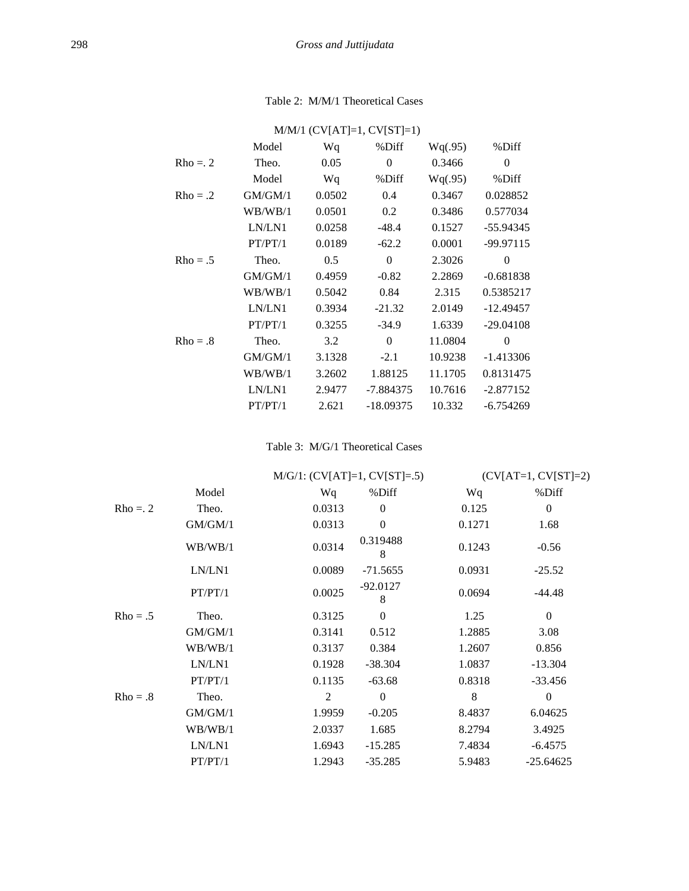# Table 2: M/M/1 Theoretical Cases

| $M/M/1$ (CV[AT]=1, CV[ST]=1) |         |        |             |         |             |  |  |  |
|------------------------------|---------|--------|-------------|---------|-------------|--|--|--|
|                              | Model   | Wq     | %Diff       | Wq(.95) | %Diff       |  |  |  |
| $Rho = 2$                    | Theo.   | 0.05   | $\theta$    | 0.3466  | $\theta$    |  |  |  |
|                              | Model   | Wq     | %Diff       | Wq(.95) | %Diff       |  |  |  |
| $Rho = .2$                   | GM/GM/1 | 0.0502 | 0.4         | 0.3467  | 0.028852    |  |  |  |
|                              | WB/WB/1 | 0.0501 | 0.2         | 0.3486  | 0.577034    |  |  |  |
|                              | LN/LN1  | 0.0258 | $-48.4$     | 0.1527  | $-55.94345$ |  |  |  |
|                              | PT/PT/1 | 0.0189 | $-62.2$     | 0.0001  | $-99.97115$ |  |  |  |
| $Rho = .5$                   | Theo.   | 0.5    | $\theta$    | 2.3026  | $\Omega$    |  |  |  |
|                              | GM/GM/1 | 0.4959 | $-0.82$     | 2.2869  | $-0.681838$ |  |  |  |
|                              | WB/WB/1 | 0.5042 | 0.84        | 2.315   | 0.5385217   |  |  |  |
|                              | LN/LN1  | 0.3934 | $-21.32$    | 2.0149  | $-12.49457$ |  |  |  |
|                              | PT/PT/1 | 0.3255 | $-34.9$     | 1.6339  | $-29.04108$ |  |  |  |
| $Rho = .8$                   | Theo.   | 3.2    | $\theta$    | 11.0804 | 0           |  |  |  |
|                              | GM/GM/1 | 3.1328 | $-2.1$      | 10.9238 | $-1.413306$ |  |  |  |
|                              | WB/WB/1 | 3.2602 | 1.88125     | 11.1705 | 0.8131475   |  |  |  |
|                              | LN/LN1  | 2.9477 | -7.884375   | 10.7616 | $-2.877152$ |  |  |  |
|                              | PT/PT/1 | 2.621  | $-18.09375$ | 10.332  | $-6.754269$ |  |  |  |

# Table 3: M/G/1 Theoretical Cases

|            |         | $M/G/1$ : (CV[AT]=1, CV[ST]=.5) |                  | $(CV[AT=1, CV[ST]=2)$ |                  |  |
|------------|---------|---------------------------------|------------------|-----------------------|------------------|--|
|            | Model   | Wq                              | %Diff            | Wq                    | %Diff            |  |
| $Rho = 2$  | Theo.   | 0.0313                          | $\mathbf{0}$     | 0.125                 | $\boldsymbol{0}$ |  |
|            | GM/GM/1 | 0.0313                          | $\boldsymbol{0}$ | 0.1271                | 1.68             |  |
|            | WB/WB/1 | 0.0314                          | 0.319488<br>8    | 0.1243                | $-0.56$          |  |
|            | LN/LN1  | 0.0089                          | $-71.5655$       | 0.0931                | $-25.52$         |  |
|            | PT/PT/1 | 0.0025                          | $-92.0127$<br>8  | 0.0694                | -44.48           |  |
| $Rho = .5$ | Theo.   | 0.3125                          | $\overline{0}$   | 1.25                  | $\theta$         |  |
|            | GM/GM/1 | 0.3141                          | 0.512            | 1.2885                | 3.08             |  |
|            | WB/WB/1 | 0.3137                          | 0.384            | 1.2607                | 0.856            |  |
|            | LN/LN1  | 0.1928                          | $-38.304$        | 1.0837                | $-13.304$        |  |
|            | PT/PT/1 | 0.1135                          | $-63.68$         | 0.8318                | $-33.456$        |  |
| $Rho = .8$ | Theo.   | 2                               | $\boldsymbol{0}$ | 8                     | $\mathbf{0}$     |  |
|            | GM/GM/1 | 1.9959                          | $-0.205$         | 8.4837                | 6.04625          |  |
|            | WB/WB/1 | 2.0337                          | 1.685            | 8.2794                | 3.4925           |  |
|            | LN/LN1  | 1.6943                          | $-15.285$        | 7.4834                | $-6.4575$        |  |
|            | PT/PT/1 | 1.2943                          | $-35.285$        | 5.9483                | $-25.64625$      |  |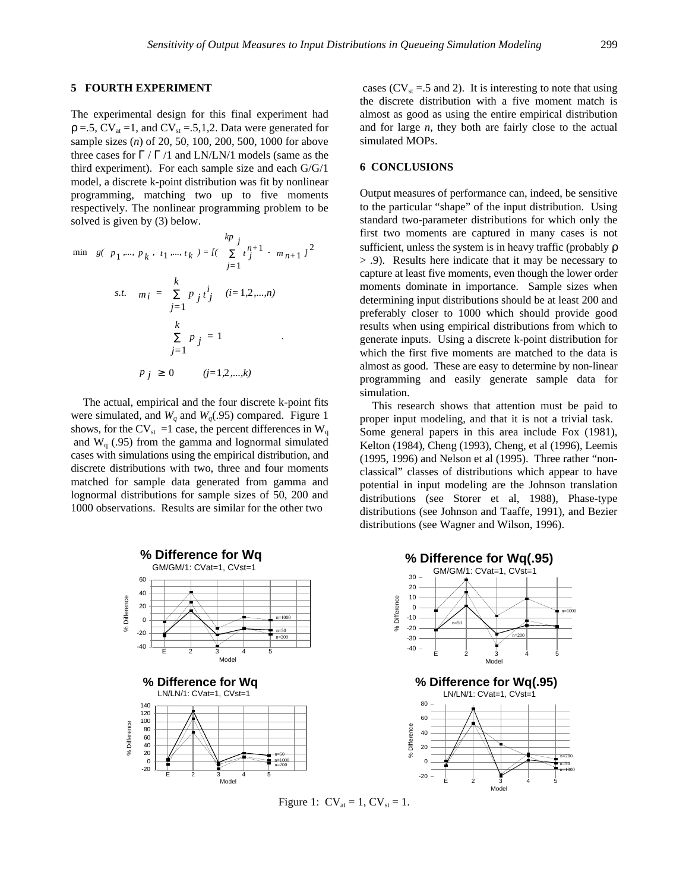#### **5 FOURTH EXPERIMENT**

The experimental design for this final experiment had  $p = .5$ ,  $CV_{at} = 1$ , and  $CV_{st} = .5, 1, 2$ . Data were generated for sample sizes (*n*) of 20, 50, 100, 200, 500, 1000 for above three cases for  $\Gamma / \Gamma / 1$  and LN/LN/1 models (same as the third experiment). For each sample size and each G/G/1 model, a discrete k-point distribution was fit by nonlinear programming, matching two up to five moments respectively. The nonlinear programming problem to be solved is given by (3) below.

$$
\begin{aligned}\n& \min \quad g(\quad p_1 \dots, \, p_k \,, \, t_1 \dots, \, t_k \, ) = \left[ \left( \sum_{j=1}^k t_j^{n+1} \, - \, m_{n+1} \right)^2 \right] \\
& \text{s.t.} \quad m_i = \sum_{j=1}^k p_j \, t_j^i \quad (i = 1, 2, \dots, n) \\
& \sum_{j=1}^k p_j = 1 \\
& \sum_{j=1}^k p_j \geq 0 \quad (j = 1, 2, \dots, k)\n\end{aligned}
$$

The actual, empirical and the four discrete k-point fits were simulated, and  $W_q$  and  $W_q$ . (95) compared. Figure 1 shows, for the CV<sub>st</sub> =1 case, the percent differences in W<sub>q</sub> and  $W<sub>q</sub>$  (.95) from the gamma and lognormal simulated cases with simulations using the empirical distribution, and discrete distributions with two, three and four moments matched for sample data generated from gamma and lognormal distributions for sample sizes of 50, 200 and 1000 observations. Results are similar for the other two

cases ( $CV_{st} = .5$  and 2). It is interesting to note that using the discrete distribution with a five moment match is almost as good as using the entire empirical distribution and for large *n*, they both are fairly close to the actual simulated MOPs.

### **6 CONCLUSIONS**

Output measures of performance can, indeed, be sensitive to the particular "shape" of the input distribution. Using standard two-parameter distributions for which only the first two moments are captured in many cases is not sufficient, unless the system is in heavy traffic (probably ρ > .9). Results here indicate that it may be necessary to capture at least five moments, even though the lower order moments dominate in importance. Sample sizes when determining input distributions should be at least 200 and preferably closer to 1000 which should provide good results when using empirical distributions from which to generate inputs. Using a discrete k-point distribution for which the first five moments are matched to the data is almost as good. These are easy to determine by non-linear programming and easily generate sample data for simulation.

This research shows that attention must be paid to proper input modeling, and that it is not a trivial task. Some general papers in this area include Fox (1981), Kelton (1984), Cheng (1993), Cheng, et al (1996), Leemis (1995, 1996) and Nelson et al (1995). Three rather "nonclassical" classes of distributions which appear to have potential in input modeling are the Johnson translation distributions (see Storer et al, 1988), Phase-type distributions (see Johnson and Taaffe, 1991), and Bezier distributions (see Wagner and Wilson, 1996).



Figure 1:  $CV_{at} = 1$ ,  $CV_{st} = 1$ .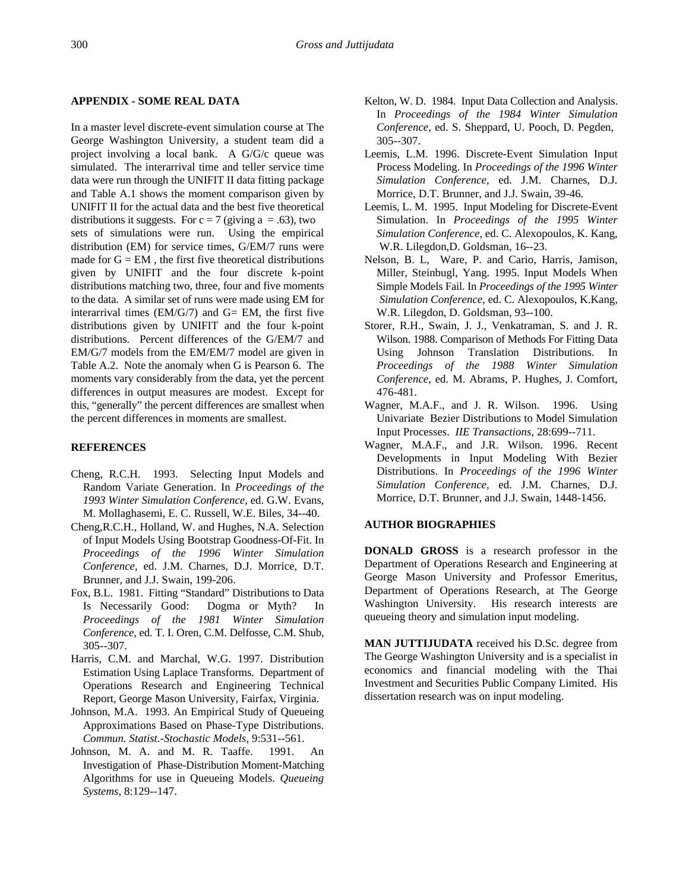### **APPENDIX - SOME REAL DATA**

In a master level discrete-event simulation course at The George Washington University, a student team did a project involving a local bank. A G/G/c queue was simulated. The interarrival time and teller service time data were run through the UNIFIT II data fitting package and Table A.1 shows the moment comparison given by UNIFIT II for the actual data and the best five theoretical distributions it suggests. For  $c = 7$  (giving a = .63), two sets of simulations were run. Using the empirical distribution (EM) for service times, G/EM/7 runs were made for  $G = EM$ , the first five theoretical distributions given by UNIFIT and the four discrete k-point distributions matching two, three, four and five moments to the data. A similar set of runs were made using EM for interarrival times  $(EM/G/7)$  and  $G= EM$ , the first five distributions given by UNIFIT and the four k-point distributions. Percent differences of the G/EM/7 and EM/G/7 models from the EM/EM/7 model are given in Table A.2. Note the anomaly when G is Pearson 6. The moments vary considerably from the data, yet the percent differences in output measures are modest. Except for this, "generally" the percent differences are smallest when the percent differences in moments are smallest.

### **REFERENCES**

- Cheng, R.C.H. 1993. Selecting Input Models and Random Variate Generation. In *Proceedings of the 1993 Winter Simulation Conference,* ed. G.W. Evans, M. Mollaghasemi, E. C. Russell, W.E. Biles, 34--40.
- Cheng,R.C.H., Holland, W. and Hughes, N.A. Selection of Input Models Using Bootstrap Goodness-Of-Fit. In *Proceedings of the 1996 Winter Simulation Conference,* ed. J.M. Charnes, D.J. Morrice, D.T. Brunner, and J.J. Swain, 199-206.
- Fox, B.L. 1981. Fitting "Standard" Distributions to Data Is Necessarily Good: Dogma or Myth? In *Proceedings of the 1981 Winter Simulation Conference*, ed. T. I. Oren, C.M. Delfosse, C.M. Shub, 305--307.
- Harris, C.M. and Marchal, W.G. 1997. Distribution Estimation Using Laplace Transforms. Department of Operations Research and Engineering Technical Report, George Mason University, Fairfax, Virginia.
- Johnson, M.A. 1993. An Empirical Study of Queueing Approximations Based on Phase-Type Distributions. *Commun. Statist.-Stochastic Models*, 9:531--561.
- Johnson, M. A. and M. R. Taaffe. 1991. An Investigation of Phase-Distribution Moment-Matching Algorithms for use in Queueing Models. *Queueing Systems*, 8:129--147.
- Kelton, W. D. 1984. Input Data Collection and Analysis. In *Proceedings of the 1984 Winter Simulation Conference*, ed. S. Sheppard, U. Pooch, D. Pegden, 305--307.
- Leemis, L.M. 1996. Discrete-Event Simulation Input Process Modeling. In *Proceedings of the 1996 Winter Simulation Conference,* ed. J.M. Charnes, D.J. Morrice, D.T. Brunner, and J.J. Swain, 39-46.
- Leemis, L. M. 1995. Input Modeling for Discrete-Event Simulation. In *Proceedings of the 1995 Winter Simulation Conference*, ed. C. Alexopoulos, K. Kang, W.R. Lilegdon,D. Goldsman, 16--23.
- Nelson, B. L, Ware, P. and Cario, Harris, Jamison, Miller, Steinbugl, Yang. 1995. Input Models When Simple Models Fail. In *Proceedings of the 1995 Winter Simulation Conference*, ed. C. Alexopoulos, K.Kang, W.R. Lilegdon, D. Goldsman, 93--100.
- Storer, R.H., Swain, J. J., Venkatraman, S. and J. R. Wilson. 1988. Comparison of Methods For Fitting Data Using Johnson Translation Distributions. In *Proceedings of the 1988 Winter Simulation Conference*, ed. M. Abrams, P. Hughes, J. Comfort, 476-481.
- Wagner, M.A.F., and J. R. Wilson. 1996. Using Univariate Bezier Distributions to Model Simulation Input Processes. *IIE Transactions*, 28:699--711.
- Wagner, M.A.F., and J.R. Wilson. 1996. Recent Developments in Input Modeling With Bezier Distributions. In *Proceedings of the 1996 Winter Simulation Conference,* ed. J.M. Charnes, D.J. Morrice, D.T. Brunner, and J.J. Swain, 1448-1456.

### **AUTHOR BIOGRAPHIES**

**DONALD GROSS** is a research professor in the Department of Operations Research and Engineering at George Mason University and Professor Emeritus, Department of Operations Research, at The George Washington University. His research interests are queueing theory and simulation input modeling.

**MAN JUTTIJUDATA** received his D.Sc. degree from The George Washington University and is a specialist in economics and financial modeling with the Thai Investment and Securities Public Company Limited. His dissertation research was on input modeling.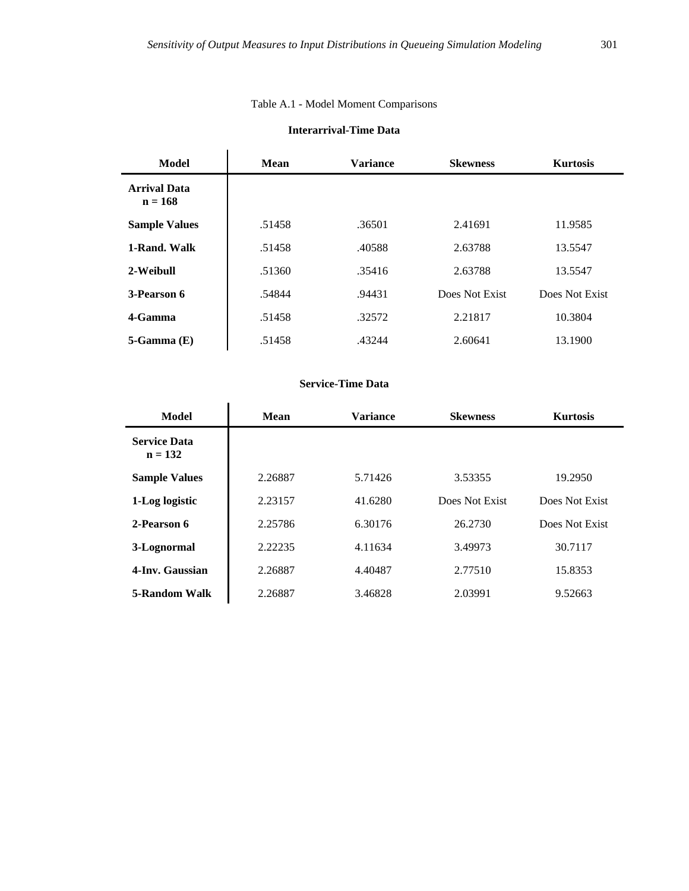# Table A.1 - Model Moment Comparisons

# **Interarrival-Time Data**

| Model                            | Mean   | <b>Variance</b> | <b>Skewness</b> | <b>Kurtosis</b> |
|----------------------------------|--------|-----------------|-----------------|-----------------|
| <b>Arrival Data</b><br>$n = 168$ |        |                 |                 |                 |
| <b>Sample Values</b>             | .51458 | .36501          | 2.41691         | 11.9585         |
| 1-Rand. Walk                     | .51458 | .40588          | 2.63788         | 13.5547         |
| 2-Weibull                        | .51360 | .35416          | 2.63788         | 13.5547         |
| 3-Pearson 6                      | .54844 | .94431          | Does Not Exist  | Does Not Exist  |
| 4-Gamma                          | .51458 | .32572          | 2.21817         | 10.3804         |
| $5-Gamma(E)$                     | .51458 | .43244          | 2.60641         | 13.1900         |

# **Service-Time Data**

| Model                            | Mean    | <b>Variance</b> | <b>Skewness</b> | <b>Kurtosis</b> |  |  |
|----------------------------------|---------|-----------------|-----------------|-----------------|--|--|
| <b>Service Data</b><br>$n = 132$ |         |                 |                 |                 |  |  |
| <b>Sample Values</b>             | 2.26887 | 5.71426         | 3.53355         | 19.2950         |  |  |
| 1-Log logistic                   | 2.23157 | 41.6280         | Does Not Exist  | Does Not Exist  |  |  |
| 2-Pearson 6                      | 2.25786 | 6.30176         | 26.2730         | Does Not Exist  |  |  |
| 3-Lognormal                      | 2.22235 | 4.11634         | 3.49973         | 30.7117         |  |  |
| 4-Inv. Gaussian                  | 2.26887 | 4.40487         | 2.77510         | 15.8353         |  |  |
| 5-Random Walk                    | 2.26887 | 3.46828         | 2.03991         | 9.52663         |  |  |